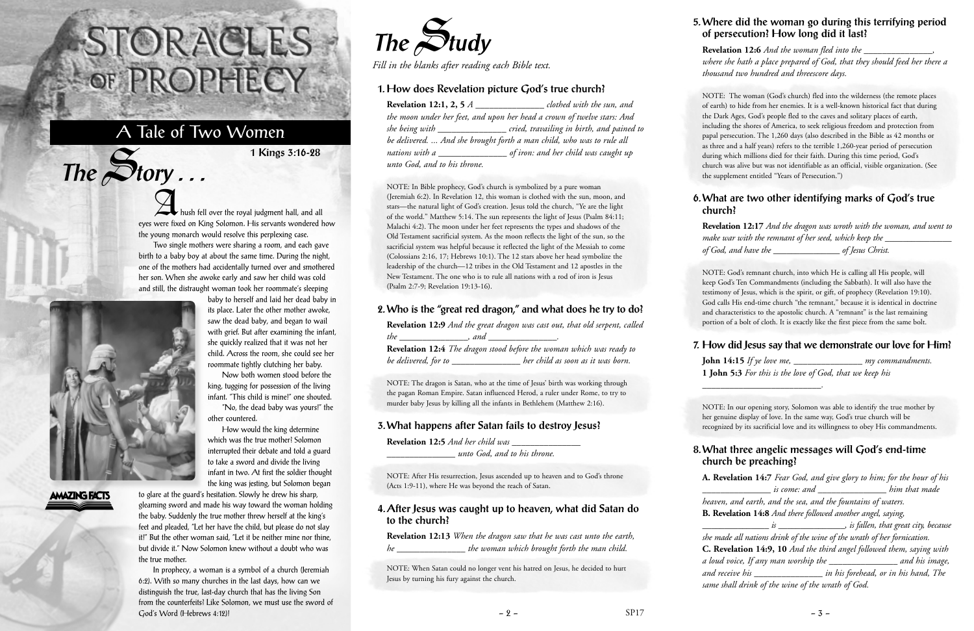A<br>hush fell over the royal judgment hall, and all eyes were fixed on King Solomon. His servants wondered how the young monarch would resolve this perplexing case.

Two single mothers were sharing a room, and each gave birth to a baby boy at about the same time. During the night, one of the mothers had accidentally turned over and smothered her son. When she awoke early and saw her child was cold and still, the distraught woman took her roommate's sleeping



 $The$  $S$ **tory** ...

## **AMAZING FACTS**

baby to herself and laid her dead baby in its place. Later the other mother awoke, saw the dead baby, and began to wail with grief. But after examining the infant, she quickly realized that it was not her child. Across the room, she could see her roommate tightly clutching her baby.

Now both women stood before the king, tugging for possession of the living infant. "This child is mine!" one shouted.

"No, the dead baby was yours!" the other countered.

How would the king determine which was the true mother? Solomon interrupted their debate and told a guard to take a sword and divide the living infant in two. At first the soldier thought the king was jesting, but Solomon began

**Revelation 12:1, 2, 5** *A clothed with the sun, and the moon under her feet, and upon her head a crown of twelve stars: And she being with \_\_\_\_\_\_\_\_\_\_\_\_\_\_\_ cried, travailing in birth, and pained to be delivered. ... And she brought forth a man child, who was to rule all nations with a \_\_\_\_\_\_\_\_\_\_\_\_\_\_\_ of iron: and her child was caught up unto God, and to his throne.* 

to glare at the guard's hesitation. Slowly he drew his sharp, gleaming sword and made his way toward the woman holding the baby. Suddenly the true mother threw herself at the king's feet and pleaded, "Let her have the child, but please do not slay it!" But the other woman said, "Let it be neither mine nor thine, but divide it." Now Solomon knew without a doubt who was the true mother.

In prophecy, a woman is a symbol of a church (Jeremiah 6:2). With so many churches in the last days, how can we distinguish the true, last-day church that has the living Son from the counterfeits? Like Solomon, we must use the sword of God's Word (Hebrews 4:12)!

# STORACLES -OF PROPHECY

# A Tale of Two Women

**1 Kings 3:16-28**



*Fill in the blanks after reading each Bible text.*

### **1. How does Revelation picture God's true church?**

NOTE: In Bible prophecy, God's church is symbolized by a pure woman (Jeremiah 6:2). In Revelation 12, this woman is clothed with the sun, moon, and stars—the natural light of God's creation. Jesus told the church, "Ye are the light of the world." Matthew 5:14. The sun represents the light of Jesus (Psalm 84:11; Malachi 4:2). The moon under her feet represents the types and shadows of the Old Testament sacrificial system. As the moon reflects the light of the sun, so the sacrificial system was helpful because it reflected the light of the Messiah to come (Colossians 2:16, 17; Hebrews 10:1). The 12 stars above her head symbolize the leadership of the church—12 tribes in the Old Testament and 12 apostles in the New Testament. The one who is to rule all nations with a rod of iron is Jesus (Psalm 2:7-9; Revelation 19:13-16).

#### **2. Who is the "great red dragon," and what does he try to do?**

|                      | Revelation 12:9 And the great dragon was cast out, that old serpent, called |
|----------------------|-----------------------------------------------------------------------------|
| <i>the</i><br>and    |                                                                             |
|                      | Revelation 12:4 The dragon stood before the woman which was ready to        |
| be delivered, for to | her child as soon as it was born.                                           |

NOTE: The dragon is Satan, who at the time of Jesus' birth was working through the pagan Roman Empire. Satan influenced Herod, a ruler under Rome, to try to murder baby Jesus by killing all the infants in Bethlehem (Matthew 2:16).

#### **3. What happens after Satan fails to destroy Jesus?**

**Revelation 12:5** *And her child was \_\_\_\_\_\_\_\_\_\_\_\_\_\_\_*

*\_\_\_\_\_\_\_\_\_\_\_\_\_\_\_ unto God, and to his throne.*

NOTE: After His resurrection, Jesus ascended up to heaven and to God's throne (Acts 1:9-11), where He was beyond the reach of Satan.

#### **4. After Jesus was caught up to heaven, what did Satan do to the church?**

|    | Revelation 12:13 When the dragon saw that he was cast unto the earth, |
|----|-----------------------------------------------------------------------|
| he | the woman which brought forth the man child.                          |

NOTE: When Satan could no longer vent his hatred on Jesus, he decided to hurt Jesus by turning his fury against the church.

#### **5. Where did the woman go during this terrifying period of persecution? How long did it last?**

**Revelation 12:6** *And the woman fled into the \_\_\_\_\_\_\_\_\_\_\_\_\_\_\_, where she hath a place prepared of God, that they should feed her there a thousand two hundred and threescore days.*

NOTE: The woman (God's church) fled into the wilderness (the remote places of earth) to hide from her enemies. It is a well-known historical fact that during the Dark Ages, God's people fled to the caves and solitary places of earth, including the shores of America, to seek religious freedom and protection from papal persecution. The 1,260 days (also described in the Bible as 42 months or as three and a half years) refers to the terrible 1,260-year period of persecution during which millions died for their faith. During this time period, God's church was alive but was not identifiable as an official, visible organization. (See the supplement entitled "Years of Persecution.")

#### **6. What are two other identifying marks of God's true church?**

**Revelation 12:17** *And the dragon was wroth with the woman, and went to make war with the remnant of her seed, which keep the \_\_\_\_\_\_\_\_\_\_\_\_\_\_\_ of God, and have the \_\_\_\_\_\_\_\_\_\_\_\_\_\_\_ of Jesus Christ.*

NOTE: God's remnant church, into which He is calling all His people, will keep God's Ten Commandments (including the Sabbath). It will also have the testimony of Jesus, which is the spirit, or gift, of prophecy (Revelation 19:10). God calls His end-time church "the remnant," because it is identical in doctrine and characteristics to the apostolic church. A "remnant" is the last remaining portion of a bolt of cloth. It is exactly like the first piece from the same bolt.

#### **7. How did Jesus say that we demonstrate our love for Him?**

**John 14:15** *If ye love me, \_\_\_\_\_\_\_\_\_\_\_\_\_\_\_ my commandments.* **1 John 5:3** *For this is the love of God, that we keep his*

*\_\_\_\_\_\_\_\_\_\_\_\_\_\_\_\_\_\_\_\_\_\_\_\_\_\_.*

NOTE: In our opening story, Solomon was able to identify the true mother by her genuine display of love. In the same way, God's true church will be recognized by its sacrificial love and its willingness to obey His commandments.

#### **8. What three angelic messages will God's end-time church be preaching?**

**A. Revelation 14:7** *Fear God, and give glory to him; for the hour of his \_\_\_\_\_\_\_\_\_\_\_\_\_\_\_ is come: and \_\_\_\_\_\_\_\_\_\_\_\_\_\_\_ him that made*

*heaven, and earth, and the sea, and the fountains of waters.* **B. Revelation 14:8** *And there followed another angel, saying,*

*\_\_\_\_\_\_\_\_\_\_\_\_\_\_\_ is \_\_\_\_\_\_\_\_\_\_\_\_\_\_\_, is fallen, that great city, because*

*she made all nations drink of the wine of the wrath of her fornication.* **C. Revelation 14:9, 10** *And the third angel followed them, saying with a loud voice, If any man worship the \_\_\_\_\_\_\_\_\_\_\_\_\_\_\_ and his image, and receive his \_\_\_\_\_\_\_\_\_\_\_\_\_\_\_ in his forehead, or in his hand, The same shall drink of the wine of the wrath of God.*